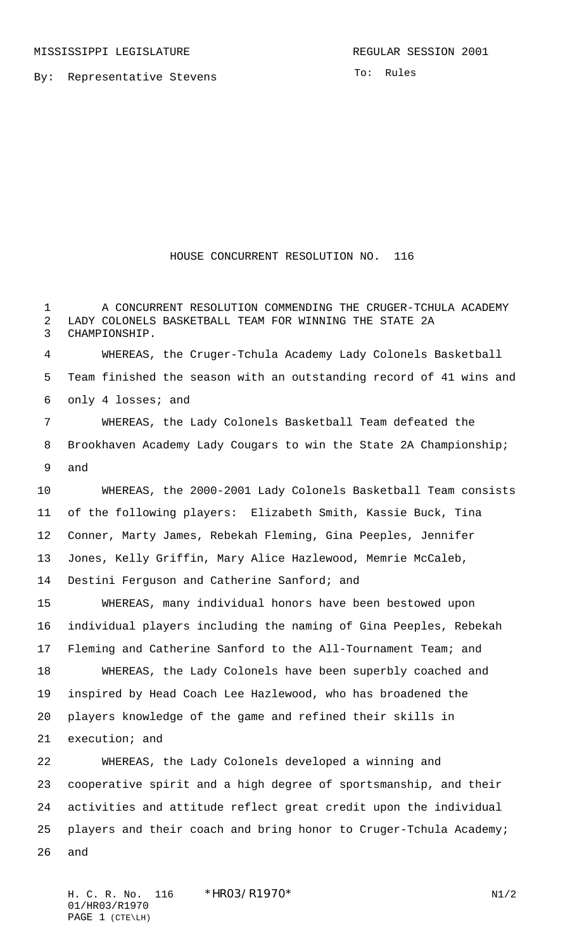By: Representative Stevens

To: Rules

## HOUSE CONCURRENT RESOLUTION NO. 116

 A CONCURRENT RESOLUTION COMMENDING THE CRUGER-TCHULA ACADEMY LADY COLONELS BASKETBALL TEAM FOR WINNING THE STATE 2A CHAMPIONSHIP.

 WHEREAS, the Cruger-Tchula Academy Lady Colonels Basketball Team finished the season with an outstanding record of 41 wins and only 4 losses; and

 WHEREAS, the Lady Colonels Basketball Team defeated the Brookhaven Academy Lady Cougars to win the State 2A Championship; and

 WHEREAS, the 2000-2001 Lady Colonels Basketball Team consists of the following players: Elizabeth Smith, Kassie Buck, Tina Conner, Marty James, Rebekah Fleming, Gina Peeples, Jennifer Jones, Kelly Griffin, Mary Alice Hazlewood, Memrie McCaleb, Destini Ferguson and Catherine Sanford; and

 WHEREAS, many individual honors have been bestowed upon individual players including the naming of Gina Peeples, Rebekah Fleming and Catherine Sanford to the All-Tournament Team; and WHEREAS, the Lady Colonels have been superbly coached and inspired by Head Coach Lee Hazlewood, who has broadened the players knowledge of the game and refined their skills in execution; and

 WHEREAS, the Lady Colonels developed a winning and cooperative spirit and a high degree of sportsmanship, and their activities and attitude reflect great credit upon the individual players and their coach and bring honor to Cruger-Tchula Academy; and